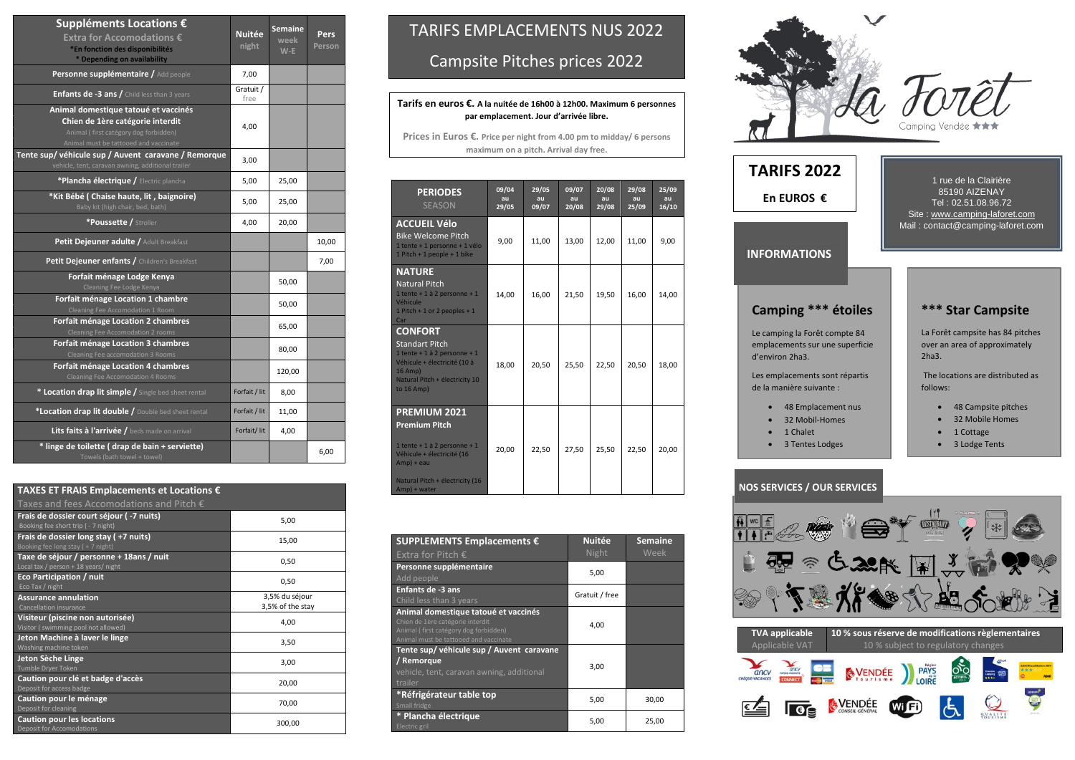d'environ 2ha3.

de la manière suivante :

- 
- 32 Mobil-Homes
- 1 Chalet
- 3 Tentes Lodges

### **INFORMATIONS**

| Suppléments Locations €<br>Extra for Accomodations €<br>*En fonction des disponibilités<br>* Depending on availability                                     | <b>Nuitée</b><br>night | <b>Semaine</b><br>week<br>$W-E$ | Pers<br><b>Person</b> |
|------------------------------------------------------------------------------------------------------------------------------------------------------------|------------------------|---------------------------------|-----------------------|
| Personne supplémentaire / Add people                                                                                                                       | 7,00                   |                                 |                       |
| Enfants de -3 ans / Child less than 3 years                                                                                                                | Gratuit /<br>free      |                                 |                       |
| Animal domestique tatoué et vaccinés<br>Chien de 1ère catégorie interdit<br>Animal (first catégory dog forbidden)<br>Animal must be tattooed and vaccinate | 4,00                   |                                 |                       |
| Tente sup/ véhicule sup / Auvent caravane / Remorque<br>vehicle, tent, caravan awning, additional trailer                                                  | 3,00                   |                                 |                       |
| *Plancha électrique / Electric plancha                                                                                                                     | 5,00                   | 25,00                           |                       |
| *Kit Bébé (Chaise haute, lit, baignoire)<br>Baby kit (high chair, bed, bath)                                                                               | 5,00                   | 25,00                           |                       |
| *Poussette / Stroller                                                                                                                                      | 4,00                   | 20,00                           |                       |
| Petit Dejeuner adulte / Adult Breakfast                                                                                                                    |                        |                                 | 10,00                 |
| Petit Dejeuner enfants / Children's Breakfast                                                                                                              |                        |                                 | 7,00                  |
| Forfait ménage Lodge Kenya<br>Cleaning Fee Lodge Kenya                                                                                                     |                        | 50,00                           |                       |
| Forfait ménage Location 1 chambre<br>Cleaning Fee Accomodation 1 Room                                                                                      |                        | 50,00                           |                       |
| Forfait ménage Location 2 chambres<br>Cleaning Fee Accomodation 2 rooms                                                                                    |                        | 65,00                           |                       |
| Forfait ménage Location 3 chambres<br>Cleaning Fee accomodation 3 Rooms                                                                                    |                        | 80,00                           |                       |
| Forfait ménage Location 4 chambres<br><b>Cleaning Fee Accomodation 4 Rooms</b>                                                                             |                        | 120,00                          |                       |
| * Location drap lit simple / Single bed sheet rental                                                                                                       | Forfait / lit          | 8,00                            |                       |
| *Location drap lit double / Double bed sheet rental                                                                                                        | Forfait / lit          | 11,00                           |                       |
| Lits faits à l'arrivée / beds made on arrival                                                                                                              | Forfait/lit            | 4,00                            |                       |
| * linge de toilette (drap de bain + serviette)<br>Towels (bath towel + towel)                                                                              |                        |                                 | 6,00                  |

| TAXES ET FRAIS Emplacements et Locations $\epsilon$                              |                                    |
|----------------------------------------------------------------------------------|------------------------------------|
| Taxes and fees Accomodations and Pitch $\epsilon$                                |                                    |
| Frais de dossier court séjour (-7 nuits)<br>Booking fee short trip ( - 7 night)  | 5,00                               |
| Frais de dossier long stay (+7 nuits)<br>Booking fee long stay (+7 night)        | 15,00                              |
| Taxe de séjour / personne + 18ans / nuit<br>Local tax / person + 18 years/ night | 0,50                               |
| <b>Eco Participation / nuit</b><br>Eco Tax / night                               | 0,50                               |
| <b>Assurance annulation</b><br><b>Cancellation insurance</b>                     | 3,5% du séjour<br>3,5% of the stay |
| Visiteur (piscine non autorisée)<br>Visitor (swimming pool not allowed)          | 4,00                               |
| Jeton Machine à laver le linge<br>Washing machine token                          | 3,50                               |
| Jeton Sèche Linge<br>Tumble Dryer Token                                          | 3,00                               |
| Caution pour clé et badge d'accès<br>Deposit for access badge                    | 20,00                              |
| Caution pour le ménage<br>Deposit for cleaning                                   | 70,00                              |
| <b>Caution pour les locations</b><br><b>Deposit for Accomodations</b>            | 300,00                             |



#### **NOS SERVICES / OUR SERVICES**



| <b>PERIODES</b><br><b>SEASON</b>                                                                                                                                          | 09/04<br>au<br>29/05 | 29/05<br>au<br>09/07 | 09/07<br>au<br>20/08 | 20/08<br>au<br>29/08 | 29/08<br>au<br>25/09 | 25/09<br>au<br>16/10 |
|---------------------------------------------------------------------------------------------------------------------------------------------------------------------------|----------------------|----------------------|----------------------|----------------------|----------------------|----------------------|
| <b>ACCUEIL Vélo</b><br><b>Bike Welcome Pitch</b><br>1 tente + 1 personne + 1 vélo<br>$1$ Pitch + 1 people + 1 bike                                                        | 9,00                 | 11,00                | 13,00                | 12,00                | 11,00                | 9,00                 |
| <b>NATURE</b><br><b>Natural Pitch</b><br>1 tente + 1 à 2 personne + 1<br>Véhicule<br>1 Pitch + 1 or 2 peoples + 1<br>Car                                                  | 14,00                | 16,00                | 21,50                | 19,50                | 16,00                | 14,00                |
| <b>CONFORT</b><br><b>Standart Pitch</b><br>1 tente + 1 à 2 personne + 1<br>Véhicule + électricité (10 à<br>$16$ Amp)<br>Natural Pitch + électricity 10<br>to $16$ Amp)    | 18,00                | 20,50                | 25,50                | 22,50                | 20,50                | 18,00                |
| PREMIUM 2021<br><b>Premium Pitch</b><br>1 tente + 1 à 2 personne + 1<br>Véhicule + électricité (16<br>$Amp$ ) + eau<br>Natural Pitch + électricity (16<br>$Amp$ ) + water | 20,00                | 22,50                | 27,50                | 25,50                | 22,50                | 20,00                |

| <b>SUPPLEMENTS Emplacements €</b><br>Extra for Pitch $\epsilon$                                                                                            | <b>Nuitée</b><br>Night | <b>Semaine</b><br>Week |
|------------------------------------------------------------------------------------------------------------------------------------------------------------|------------------------|------------------------|
| Personne supplémentaire<br>Add people                                                                                                                      | 5,00                   |                        |
| <b>Enfants de -3 ans</b><br>Child less than 3 years                                                                                                        | Gratuit / free         |                        |
| Animal domestique tatoué et vaccinés<br>Chien de 1ère catégorie interdit<br>Animal (first catégory dog forbidden)<br>Animal must be tattooed and vaccinate | 4,00                   |                        |
| Tente sup/ véhicule sup / Auvent caravane<br>/ Remorque<br>vehicle, tent, caravan awning, additional<br>trailer                                            | 3,00                   |                        |
| *Réfrigérateur table top<br>Small fridge                                                                                                                   | 5,00                   | 30,00                  |
| * Plancha électrique<br>Electric gril                                                                                                                      | 5,00                   | 25,00                  |



|                         | <b>TVA applicable</b><br>Applicable VAT |
|-------------------------|-----------------------------------------|
| ancv<br>CHÉQUE-VACANCES | <b>HEOLY-HACANCES</b><br><b>CONNECT</b> |
|                         |                                         |

#### **10 % sous réserve de modifications règlementaires** 10 % subject to regulatory changes





















**TARIFS 2022 En EUROS €**

## TARIFS EMPLACEMENTS NUS 2022

Campsite Pitches prices 2022

**Tarifs en euros €. A la nuitée de 16h00 à 12h00. Maximum 6 personnes par emplacement. Jour d'arrivée libre.**

**Prices in Euros €. Price per night from 4.00 pm to midday/ 6 persons maximum on a pitch. Arrival day free.**

- 1 Cottage
- 3 Lodge Tents